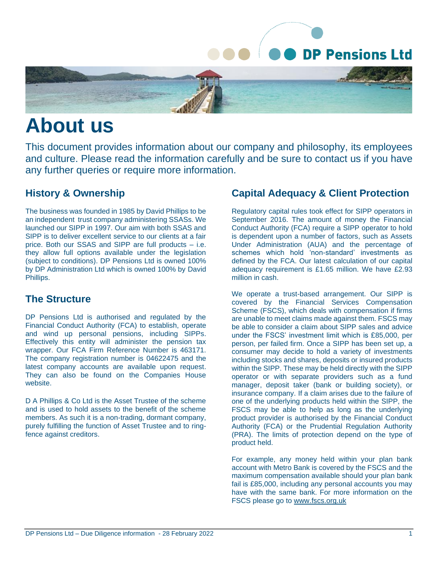

# **About us**

This document provides information about our company and philosophy, its employees and culture. Please read the information carefully and be sure to contact us if you have any further queries or require more information.

#### **History & Ownership**

The business was founded in 1985 by David Phillips to be an independent trust company administering SSASs. We launched our SIPP in 1997. Our aim with both SSAS and SIPP is to deliver excellent service to our clients at a fair price. Both our SSAS and SIPP are full products – i.e. they allow full options available under the legislation (subject to conditions). DP Pensions Ltd is owned 100% by DP Administration Ltd which is owned 100% by David Phillips.

#### **The Structure**

DP Pensions Ltd is authorised and regulated by the Financial Conduct Authority (FCA) to establish, operate and wind up personal pensions, including SIPPs. Effectively this entity will administer the pension tax wrapper. Our FCA Firm Reference Number is 463171. The company registration number is 04622475 and the latest company accounts are available upon request. They can also be found on the Companies House website.

D A Phillips & Co Ltd is the Asset Trustee of the scheme and is used to hold assets to the benefit of the scheme members. As such it is a non-trading, dormant company, purely fulfilling the function of Asset Trustee and to ringfence against creditors.

# **Capital Adequacy & Client Protection**

Regulatory capital rules took effect for SIPP operators in September 2016. The amount of money the Financial Conduct Authority (FCA) require a SIPP operator to hold is dependent upon a number of factors, such as Assets Under Administration (AUA) and the percentage of schemes which hold 'non-standard' investments as defined by the FCA. Our latest calculation of our capital adequacy requirement is £1.65 million. We have £2.93 million in cash.

We operate a trust-based arrangement. Our SIPP is covered by the Financial Services Compensation Scheme (FSCS), which deals with compensation if firms are unable to meet claims made against them. FSCS may be able to consider a claim about SIPP sales and advice under the FSCS' investment limit which is £85,000, per person, per failed firm. Once a SIPP has been set up, a consumer may decide to hold a variety of investments including stocks and shares, deposits or insured products within the SIPP. These may be held directly with the SIPP operator or with separate providers such as a fund manager, deposit taker (bank or building society), or insurance company. If a claim arises due to the failure of one of the underlying products held within the SIPP, the FSCS may be able to help as long as the underlying product provider is authorised by the Financial Conduct Authority (FCA) or the Prudential Regulation Authority (PRA). The limits of protection depend on the type of product held.

For example, any money held within your plan bank account with Metro Bank is covered by the FSCS and the maximum compensation available should your plan bank fail is £85,000, including any personal accounts you may have with the same bank. For more information on the FSCS please go to [www.fscs.org.uk](http://www.fscs.org.uk/)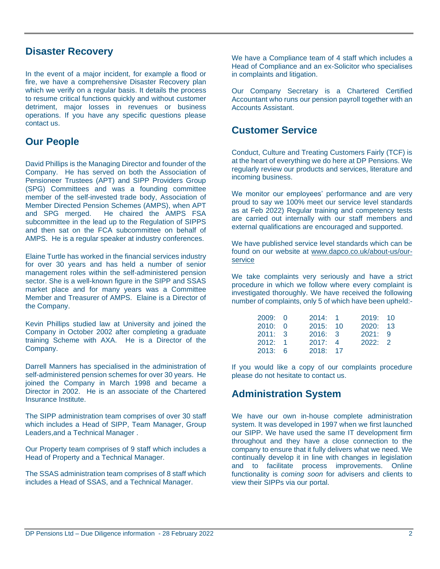#### **Disaster Recovery**

In the event of a major incident, for example a flood or fire, we have a comprehensive Disaster Recovery plan which we verify on a regular basis. It details the process to resume critical functions quickly and without customer detriment, major losses in revenues or business operations. If you have any specific questions please contact us.

# **Our People**

David Phillips is the Managing Director and founder of the Company. He has served on both the Association of Pensioneer Trustees (APT) and SIPP Providers Group (SPG) Committees and was a founding committee member of the self-invested trade body, Association of Member Directed Pension Schemes (AMPS), when APT and SPG merged. He chaired the AMPS FSA subcommittee in the lead up to the Regulation of SIPPS and then sat on the FCA subcommittee on behalf of AMPS. He is a regular speaker at industry conferences.

Elaine Turtle has worked in the financial services industry for over 30 years and has held a number of senior management roles within the self-administered pension sector. She is a well-known figure in the SIPP and SSAS market place and for many years was a Committee Member and Treasurer of AMPS. Elaine is a Director of the Company.

Kevin Phillips studied law at University and joined the Company in October 2002 after completing a graduate training Scheme with AXA. He is a Director of the Company.

Darrell Manners has specialised in the administration of self-administered pension schemes for over 30 years. He joined the Company in March 1998 and became a Director in 2002. He is an associate of the Chartered Insurance Institute.

The SIPP administration team comprises of over 30 staff which includes a Head of SIPP, Team Manager, Group Leaders,and a Technical Manager .

Our Property team comprises of 9 staff which includes a Head of Property and a Technical Manager.

The SSAS administration team comprises of 8 staff which includes a Head of SSAS, and a Technical Manager.

We have a Compliance team of 4 staff which includes a Head of Compliance and an ex-Solicitor who specialises in complaints and litigation.

Our Company Secretary is a Chartered Certified Accountant who runs our pension payroll together with an Accounts Assistant.

# **Customer Service**

Conduct, Culture and Treating Customers Fairly (TCF) is at the heart of everything we do here at DP Pensions. We regularly review our products and services, literature and incoming business.

We monitor our employees' performance and are very proud to say we 100% meet our service level standards as at Feb 2022) Regular training and competency tests are carried out internally with our staff members and external qualifications are encouraged and supported.

We have published service level standards which can be found on our website at [www.dapco.co.uk/about-us/our](http://www.dapco.co.uk/about-us/our-service)[service](http://www.dapco.co.uk/about-us/our-service)

We take complaints very seriously and have a strict procedure in which we follow where every complaint is investigated thoroughly. We have received the following number of complaints, only 5 of which have been upheld:-

| 2009:0  | 2014: 1  | 2019:10  |  |
|---------|----------|----------|--|
| 2010: 0 | 2015: 10 | 2020: 13 |  |
| 2011: 3 | 2016: 3  | 2021:9   |  |
| 2012: 1 | 2017: 4  | 2022: 2  |  |
| 2013: 6 | 2018:17  |          |  |

If you would like a copy of our complaints procedure please do not hesitate to contact us.

## **Administration System**

We have our own in-house complete administration system. It was developed in 1997 when we first launched our SIPP. We have used the same IT development firm throughout and they have a close connection to the company to ensure that it fully delivers what we need. We continually develop it in line with changes in legislation and to facilitate process improvements. Online functionality is *coming soon* for advisers and clients to view their SIPPs via our portal.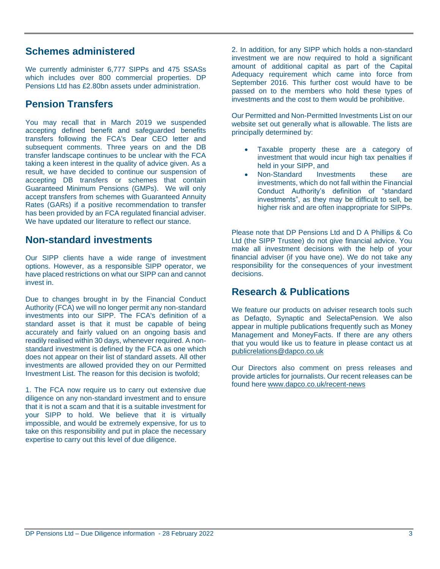#### **Schemes administered**

We currently administer 6,777 SIPPs and 475 SSASs which includes over 800 commercial properties. DP Pensions Ltd has £2.80bn assets under administration.

# **Pension Transfers**

You may recall that in March 2019 we suspended accepting defined benefit and safeguarded benefits transfers following the FCA's Dear CEO letter and subsequent comments. Three years on and the DB transfer landscape continues to be unclear with the FCA taking a keen interest in the quality of advice given. As a result, we have decided to continue our suspension of accepting DB transfers or schemes that contain Guaranteed Minimum Pensions (GMPs). We will only accept transfers from schemes with Guaranteed Annuity Rates (GARs) if a positive recommendation to transfer has been provided by an FCA regulated financial adviser. We have updated our literature to reflect our stance.

## **Non-standard investments**

Our SIPP clients have a wide range of investment options. However, as a responsible SIPP operator, we have placed restrictions on what our SIPP can and cannot invest in.

Due to changes brought in by the Financial Conduct Authority (FCA) we will no longer permit any non-standard investments into our SIPP. The FCA's definition of a standard asset is that it must be capable of being accurately and fairly valued on an ongoing basis and readily realised within 30 days, whenever required. A nonstandard investment is defined by the FCA as one which does not appear on their list of standard assets. All other investments are allowed provided they on our Permitted Investment List. The reason for this decision is twofold;

1. The FCA now require us to carry out extensive due diligence on any non-standard investment and to ensure that it is not a scam and that it is a suitable investment for your SIPP to hold. We believe that it is virtually impossible, and would be extremely expensive, for us to take on this responsibility and put in place the necessary expertise to carry out this level of due diligence.

2. In addition, for any SIPP which holds a non-standard investment we are now required to hold a significant amount of additional capital as part of the Capital Adequacy requirement which came into force from September 2016. This further cost would have to be passed on to the members who hold these types of investments and the cost to them would be prohibitive.

Our Permitted and Non-Permitted Investments List on our website set out generally what is allowable. The lists are principally determined by:

- Taxable property these are a category of investment that would incur high tax penalties if held in your SIPP, and
- Non-Standard Investments these are investments, which do not fall within the Financial Conduct Authority's definition of "standard investments", as they may be difficult to sell, be higher risk and are often inappropriate for SIPPs.

Please note that DP Pensions Ltd and D A Phillips & Co Ltd (the SIPP Trustee) do not give financial advice. You make all investment decisions with the help of your financial adviser (if you have one). We do not take any responsibility for the consequences of your investment decisions.

## **Research & Publications**

We feature our products on adviser research tools such as Defaqto, Synaptic and SelectaPension. We also appear in multiple publications frequently such as Money Management and MoneyFacts. If there are any others that you would like us to feature in please contact us at [publicrelations@dapco.co.uk](mailto:publicrelations@dapco.co.uk)

Our Directors also comment on press releases and provide articles for journalists. Our recent releases can be found here [www.dapco.co.uk/recent-news](http://www.dapco.co.uk/recent-news)